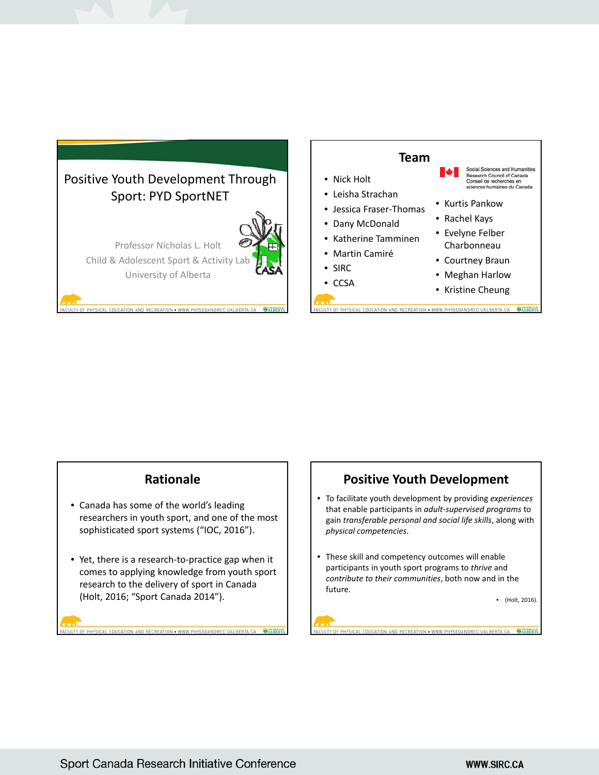



## **Rationale**

- Canada has some of the world's leading researchers in youth sport, and one of the most sophisticated sport systems ("IOC, 2016").
- Yet, there is a research-to-practice gap when it comes to applying knowledge from youth sport research to the delivery of sport in Canada (Holt, 2016; "Sport Canada 2014").

RECREATION . WWW.PHYSEDANDREC

## **Positive Youth Development**

- To facilitate youth development by providing *experiences* that enable participants in *adult‐supervised programs* to gain *transferable personal and social life skills*, along with *physical competencies*.
- These skill and competency outcomes will enable participants in youth sport programs to *thrive* and *contribute to their communities*, both now and in the future.

• (Holt, 2016).

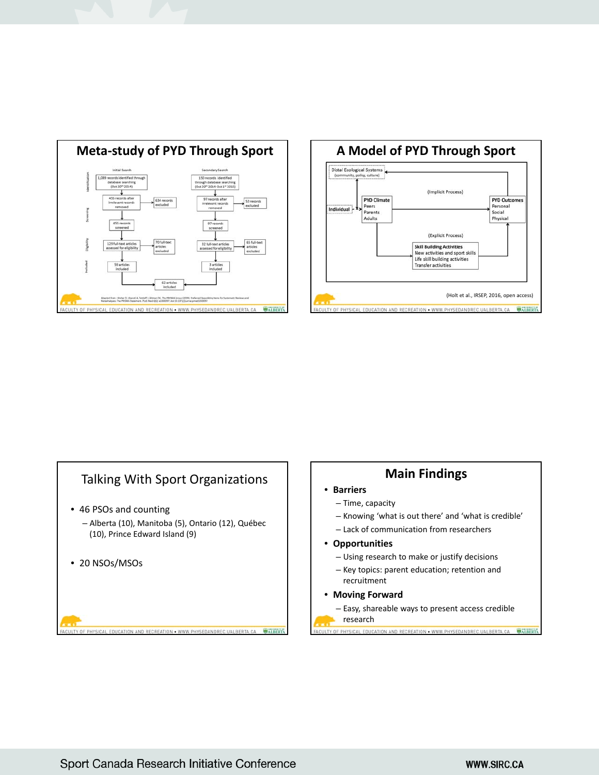





## **Main Findings**

- **Barriers**
	- Time, capacity
	- Knowing 'what is out there' and 'what is credible'
	- Lack of communication from researchers
- **Opportunities**
	- Using research to make or justify decisions
	- Key topics: parent education; retention and recruitment
- **Moving Forward**
	- Easy, shareable ways to present access credible

CAL EDUCATION AND RECREATION . WWW.PHYSEDANDREC.UALBERTA.CA

research